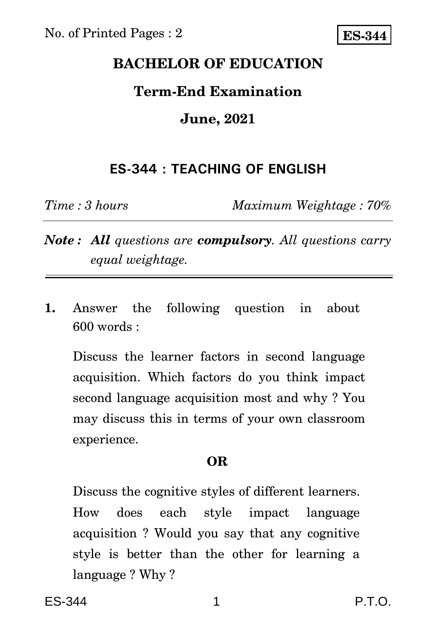# **BACHELOR OF EDUCATION**

## **Term-End Examination**

# **June, 2021**

# **ES-344 : TEACHING OF ENGLISH**

*Time : 3 hours Maximum Weightage : 70%*

*Note : All questions are compulsory. All questions carry equal weightage.*

**1.** Answer the following question in about 600 words :

Discuss the learner factors in second language acquisition. Which factors do you think impact second language acquisition most and why ? You may discuss this in terms of your own classroom experience.

### **OR**

Discuss the cognitive styles of different learners. How does each style impact language acquisition ? Would you say that any cognitive style is better than the other for learning a language ? Why ?